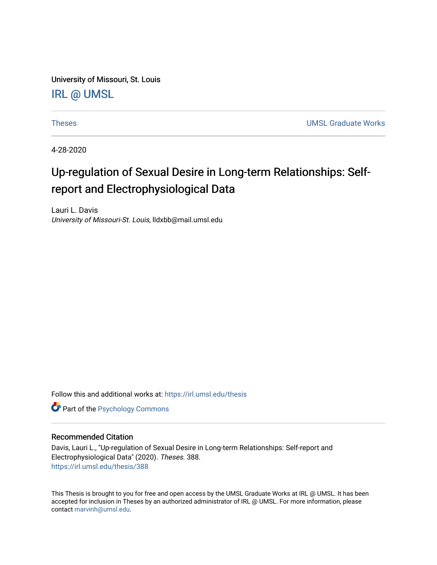University of Missouri, St. Louis [IRL @ UMSL](https://irl.umsl.edu/) 

[Theses](https://irl.umsl.edu/thesis) [UMSL Graduate Works](https://irl.umsl.edu/grad) 

4-28-2020

# Up-regulation of Sexual Desire in Long-term Relationships: Selfreport and Electrophysiological Data

Lauri L. Davis University of Missouri-St. Louis, lldxbb@mail.umsl.edu

Follow this and additional works at: [https://irl.umsl.edu/thesis](https://irl.umsl.edu/thesis?utm_source=irl.umsl.edu%2Fthesis%2F388&utm_medium=PDF&utm_campaign=PDFCoverPages) 

**Part of the Psychology Commons** 

## Recommended Citation

Davis, Lauri L., "Up-regulation of Sexual Desire in Long-term Relationships: Self-report and Electrophysiological Data" (2020). Theses. 388. [https://irl.umsl.edu/thesis/388](https://irl.umsl.edu/thesis/388?utm_source=irl.umsl.edu%2Fthesis%2F388&utm_medium=PDF&utm_campaign=PDFCoverPages) 

This Thesis is brought to you for free and open access by the UMSL Graduate Works at IRL @ UMSL. It has been accepted for inclusion in Theses by an authorized administrator of IRL @ UMSL. For more information, please contact [marvinh@umsl.edu.](mailto:marvinh@umsl.edu)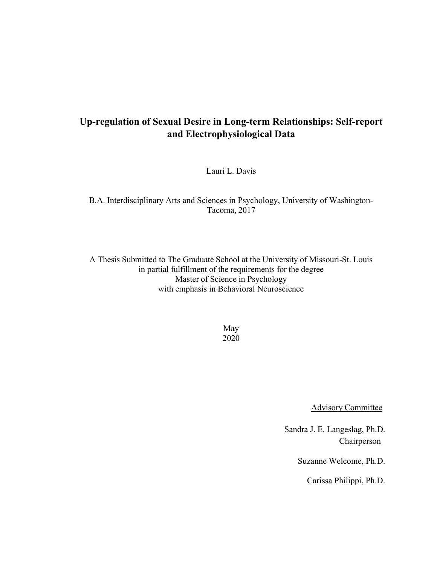# Up-regulation of Sexual Desire in Long-term Relationships: Self-report and Electrophysiological Data

Lauri L. Davis

B.A. Interdisciplinary Arts and Sciences in Psychology, University of Washington-Tacoma, 2017

A Thesis Submitted to The Graduate School at the University of Missouri-St. Louis in partial fulfillment of the requirements for the degree Master of Science in Psychology with emphasis in Behavioral Neuroscience

> May 2020

> > Advisory Committee

 Sandra J. E. Langeslag, Ph.D. Chairperson

Suzanne Welcome, Ph.D.

Carissa Philippi, Ph.D.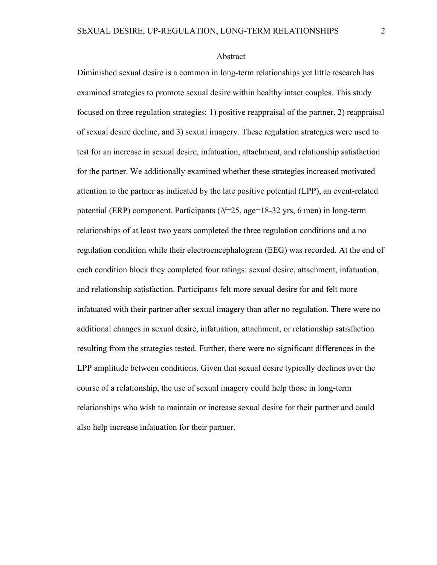#### Abstract

Diminished sexual desire is a common in long-term relationships yet little research has examined strategies to promote sexual desire within healthy intact couples. This study focused on three regulation strategies: 1) positive reappraisal of the partner, 2) reappraisal of sexual desire decline, and 3) sexual imagery. These regulation strategies were used to test for an increase in sexual desire, infatuation, attachment, and relationship satisfaction for the partner. We additionally examined whether these strategies increased motivated attention to the partner as indicated by the late positive potential (LPP), an event-related potential (ERP) component. Participants ( $N=25$ , age=18-32 yrs, 6 men) in long-term relationships of at least two years completed the three regulation conditions and a no regulation condition while their electroencephalogram (EEG) was recorded. At the end of each condition block they completed four ratings: sexual desire, attachment, infatuation, and relationship satisfaction. Participants felt more sexual desire for and felt more infatuated with their partner after sexual imagery than after no regulation. There were no additional changes in sexual desire, infatuation, attachment, or relationship satisfaction resulting from the strategies tested. Further, there were no significant differences in the LPP amplitude between conditions. Given that sexual desire typically declines over the course of a relationship, the use of sexual imagery could help those in long-term relationships who wish to maintain or increase sexual desire for their partner and could also help increase infatuation for their partner.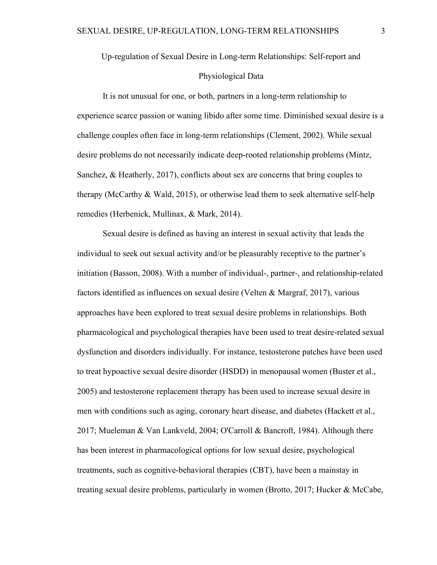Up-regulation of Sexual Desire in Long-term Relationships: Self-report and

#### Physiological Data

It is not unusual for one, or both, partners in a long-term relationship to experience scarce passion or waning libido after some time. Diminished sexual desire is a challenge couples often face in long-term relationships (Clement, 2002). While sexual desire problems do not necessarily indicate deep-rooted relationship problems (Mintz, Sanchez, & Heatherly, 2017), conflicts about sex are concerns that bring couples to therapy (McCarthy & Wald, 2015), or otherwise lead them to seek alternative self-help remedies (Herbenick, Mullinax, & Mark, 2014).

Sexual desire is defined as having an interest in sexual activity that leads the individual to seek out sexual activity and/or be pleasurably receptive to the partner's initiation (Basson, 2008). With a number of individual-, partner-, and relationship-related factors identified as influences on sexual desire (Velten & Margraf, 2017), various approaches have been explored to treat sexual desire problems in relationships. Both pharmacological and psychological therapies have been used to treat desire-related sexual dysfunction and disorders individually. For instance, testosterone patches have been used to treat hypoactive sexual desire disorder (HSDD) in menopausal women (Buster et al., 2005) and testosterone replacement therapy has been used to increase sexual desire in men with conditions such as aging, coronary heart disease, and diabetes (Hackett et al., 2017; Mueleman & Van Lankveld, 2004; O'Carroll & Bancroft, 1984). Although there has been interest in pharmacological options for low sexual desire, psychological treatments, such as cognitive-behavioral therapies (CBT), have been a mainstay in treating sexual desire problems, particularly in women (Brotto, 2017; Hucker & McCabe,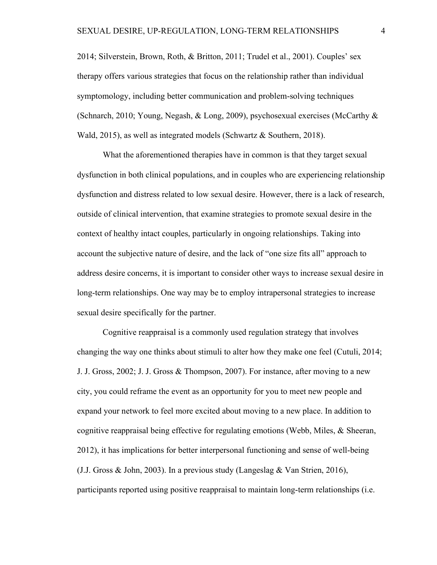2014; Silverstein, Brown, Roth, & Britton, 2011; Trudel et al., 2001). Couples' sex therapy offers various strategies that focus on the relationship rather than individual symptomology, including better communication and problem-solving techniques (Schnarch, 2010; Young, Negash, & Long, 2009), psychosexual exercises (McCarthy & Wald, 2015), as well as integrated models (Schwartz & Southern, 2018).

 What the aforementioned therapies have in common is that they target sexual dysfunction in both clinical populations, and in couples who are experiencing relationship dysfunction and distress related to low sexual desire. However, there is a lack of research, outside of clinical intervention, that examine strategies to promote sexual desire in the context of healthy intact couples, particularly in ongoing relationships. Taking into account the subjective nature of desire, and the lack of "one size fits all" approach to address desire concerns, it is important to consider other ways to increase sexual desire in long-term relationships. One way may be to employ intrapersonal strategies to increase sexual desire specifically for the partner.

Cognitive reappraisal is a commonly used regulation strategy that involves changing the way one thinks about stimuli to alter how they make one feel (Cutuli, 2014; J. J. Gross, 2002; J. J. Gross & Thompson, 2007). For instance, after moving to a new city, you could reframe the event as an opportunity for you to meet new people and expand your network to feel more excited about moving to a new place. In addition to cognitive reappraisal being effective for regulating emotions (Webb, Miles, & Sheeran, 2012), it has implications for better interpersonal functioning and sense of well-being (J.J. Gross & John, 2003). In a previous study (Langeslag & Van Strien, 2016), participants reported using positive reappraisal to maintain long-term relationships (i.e.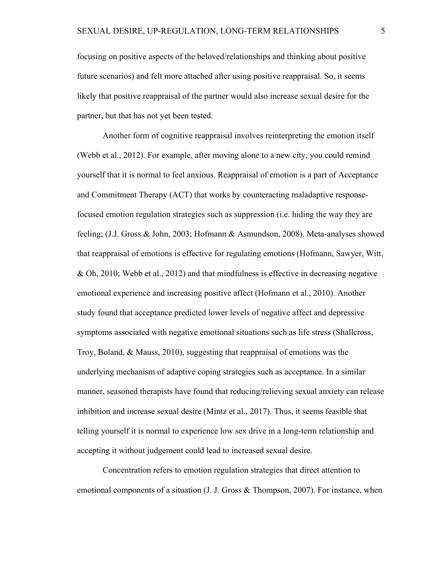focusing on positive aspects of the beloved/relationships and thinking about positive future scenarios) and felt more attached after using positive reappraisal. So, it seems likely that positive reappraisal of the partner would also increase sexual desire for the partner, but that has not yet been tested.

Another form of cognitive reappraisal involves reinterpreting the emotion itself (Webb et al., 2012). For example, after moving alone to a new city, you could remind yourself that it is normal to feel anxious. Reappraisal of emotion is a part of Acceptance and Commitment Therapy (ACT) that works by counteracting maladaptive responsefocused emotion regulation strategies such as suppression (i.e. hiding the way they are feeling; (J.J. Gross & John, 2003; Hofmann & Asmundson, 2008). Meta-analyses showed that reappraisal of emotions is effective for regulating emotions (Hofmann, Sawyer, Witt, & Oh, 2010; Webb et al., 2012) and that mindfulness is effective in decreasing negative emotional experience and increasing positive affect (Hofmann et al., 2010). Another study found that acceptance predicted lower levels of negative affect and depressive symptoms associated with negative emotional situations such as life stress (Shallcross, Troy, Boland, & Mauss, 2010), suggesting that reappraisal of emotions was the underlying mechanism of adaptive coping strategies such as acceptance. In a similar manner, seasoned therapists have found that reducing/relieving sexual anxiety can release inhibition and increase sexual desire (Mintz et al., 2017). Thus, it seems feasible that telling yourself it is normal to experience low sex drive in a long-term relationship and accepting it without judgement could lead to increased sexual desire.

Concentration refers to emotion regulation strategies that direct attention to emotional components of a situation (J. J. Gross & Thompson, 2007). For instance, when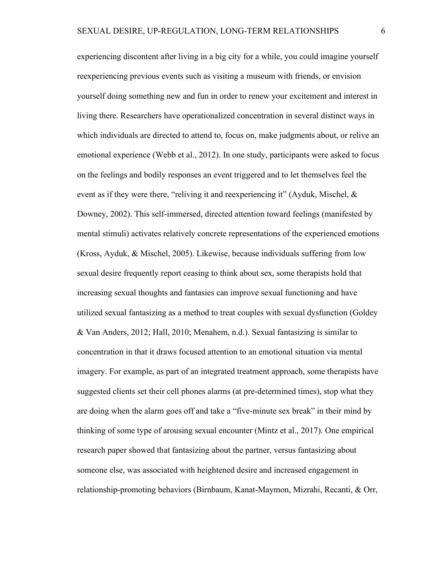experiencing discontent after living in a big city for a while, you could imagine yourself reexperiencing previous events such as visiting a museum with friends, or envision yourself doing something new and fun in order to renew your excitement and interest in living there. Researchers have operationalized concentration in several distinct ways in which individuals are directed to attend to, focus on, make judgments about, or relive an emotional experience (Webb et al., 2012). In one study, participants were asked to focus on the feelings and bodily responses an event triggered and to let themselves feel the event as if they were there, "reliving it and reexperiencing it" (Ayduk, Mischel, & Downey, 2002). This self-immersed, directed attention toward feelings (manifested by mental stimuli) activates relatively concrete representations of the experienced emotions (Kross, Ayduk, & Mischel, 2005). Likewise, because individuals suffering from low sexual desire frequently report ceasing to think about sex, some therapists hold that increasing sexual thoughts and fantasies can improve sexual functioning and have utilized sexual fantasizing as a method to treat couples with sexual dysfunction (Goldey & Van Anders, 2012; Hall, 2010; Menahem, n.d.). Sexual fantasizing is similar to concentration in that it draws focused attention to an emotional situation via mental imagery. For example, as part of an integrated treatment approach, some therapists have suggested clients set their cell phones alarms (at pre-determined times), stop what they are doing when the alarm goes off and take a "five-minute sex break" in their mind by thinking of some type of arousing sexual encounter (Mintz et al., 2017). One empirical research paper showed that fantasizing about the partner, versus fantasizing about someone else, was associated with heightened desire and increased engagement in relationship-promoting behaviors (Birnbaum, Kanat-Maymon, Mizrahi, Recanti, & Orr,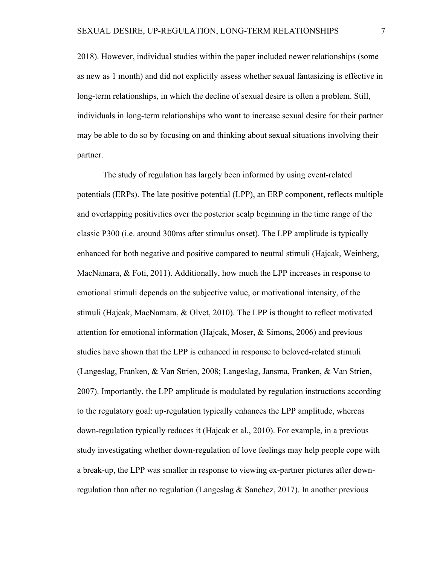2018). However, individual studies within the paper included newer relationships (some as new as 1 month) and did not explicitly assess whether sexual fantasizing is effective in long-term relationships, in which the decline of sexual desire is often a problem. Still, individuals in long-term relationships who want to increase sexual desire for their partner may be able to do so by focusing on and thinking about sexual situations involving their partner.

The study of regulation has largely been informed by using event-related potentials (ERPs). The late positive potential (LPP), an ERP component, reflects multiple and overlapping positivities over the posterior scalp beginning in the time range of the classic P300 (i.e. around 300ms after stimulus onset). The LPP amplitude is typically enhanced for both negative and positive compared to neutral stimuli (Hajcak, Weinberg, MacNamara, & Foti, 2011). Additionally, how much the LPP increases in response to emotional stimuli depends on the subjective value, or motivational intensity, of the stimuli (Hajcak, MacNamara, & Olvet, 2010). The LPP is thought to reflect motivated attention for emotional information (Hajcak, Moser, & Simons, 2006) and previous studies have shown that the LPP is enhanced in response to beloved-related stimuli (Langeslag, Franken, & Van Strien, 2008; Langeslag, Jansma, Franken, & Van Strien, 2007). Importantly, the LPP amplitude is modulated by regulation instructions according to the regulatory goal: up-regulation typically enhances the LPP amplitude, whereas down-regulation typically reduces it (Hajcak et al., 2010). For example, in a previous study investigating whether down-regulation of love feelings may help people cope with a break-up, the LPP was smaller in response to viewing ex-partner pictures after downregulation than after no regulation (Langeslag  $&$  Sanchez, 2017). In another previous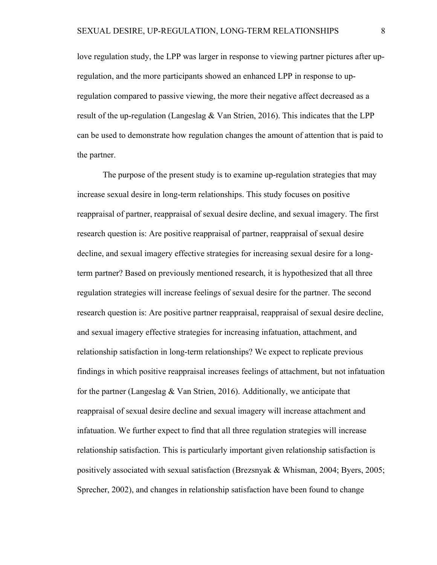love regulation study, the LPP was larger in response to viewing partner pictures after upregulation, and the more participants showed an enhanced LPP in response to upregulation compared to passive viewing, the more their negative affect decreased as a result of the up-regulation (Langeslag & Van Strien, 2016). This indicates that the LPP can be used to demonstrate how regulation changes the amount of attention that is paid to the partner.

 The purpose of the present study is to examine up-regulation strategies that may increase sexual desire in long-term relationships. This study focuses on positive reappraisal of partner, reappraisal of sexual desire decline, and sexual imagery. The first research question is: Are positive reappraisal of partner, reappraisal of sexual desire decline, and sexual imagery effective strategies for increasing sexual desire for a longterm partner? Based on previously mentioned research, it is hypothesized that all three regulation strategies will increase feelings of sexual desire for the partner. The second research question is: Are positive partner reappraisal, reappraisal of sexual desire decline, and sexual imagery effective strategies for increasing infatuation, attachment, and relationship satisfaction in long-term relationships? We expect to replicate previous findings in which positive reappraisal increases feelings of attachment, but not infatuation for the partner (Langeslag  $&$  Van Strien, 2016). Additionally, we anticipate that reappraisal of sexual desire decline and sexual imagery will increase attachment and infatuation. We further expect to find that all three regulation strategies will increase relationship satisfaction. This is particularly important given relationship satisfaction is positively associated with sexual satisfaction (Brezsnyak & Whisman, 2004; Byers, 2005; Sprecher, 2002), and changes in relationship satisfaction have been found to change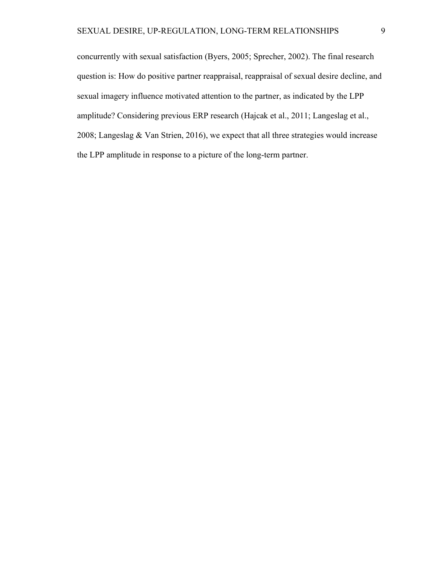concurrently with sexual satisfaction (Byers, 2005; Sprecher, 2002). The final research question is: How do positive partner reappraisal, reappraisal of sexual desire decline, and sexual imagery influence motivated attention to the partner, as indicated by the LPP amplitude? Considering previous ERP research (Hajcak et al., 2011; Langeslag et al., 2008; Langeslag & Van Strien, 2016), we expect that all three strategies would increase the LPP amplitude in response to a picture of the long-term partner.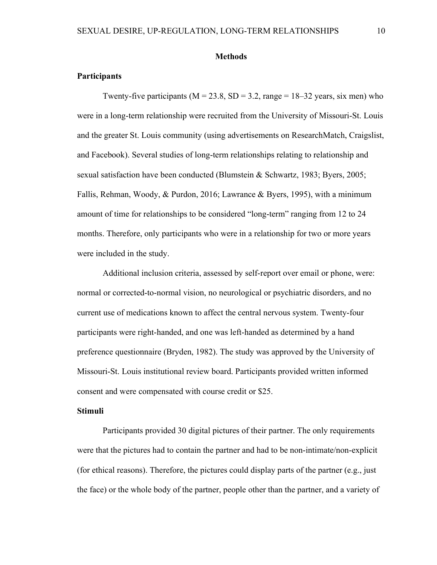#### **Methods**

# **Participants**

Twenty-five participants ( $M = 23.8$ ,  $SD = 3.2$ , range = 18–32 years, six men) who were in a long-term relationship were recruited from the University of Missouri-St. Louis and the greater St. Louis community (using advertisements on ResearchMatch, Craigslist, and Facebook). Several studies of long-term relationships relating to relationship and sexual satisfaction have been conducted (Blumstein & Schwartz, 1983; Byers, 2005; Fallis, Rehman, Woody, & Purdon, 2016; Lawrance & Byers, 1995), with a minimum amount of time for relationships to be considered "long-term" ranging from 12 to 24 months. Therefore, only participants who were in a relationship for two or more years were included in the study.

Additional inclusion criteria, assessed by self-report over email or phone, were: normal or corrected-to-normal vision, no neurological or psychiatric disorders, and no current use of medications known to affect the central nervous system. Twenty-four participants were right-handed, and one was left-handed as determined by a hand preference questionnaire (Bryden, 1982). The study was approved by the University of Missouri-St. Louis institutional review board. Participants provided written informed consent and were compensated with course credit or \$25.

## Stimuli

Participants provided 30 digital pictures of their partner. The only requirements were that the pictures had to contain the partner and had to be non-intimate/non-explicit (for ethical reasons). Therefore, the pictures could display parts of the partner (e.g., just the face) or the whole body of the partner, people other than the partner, and a variety of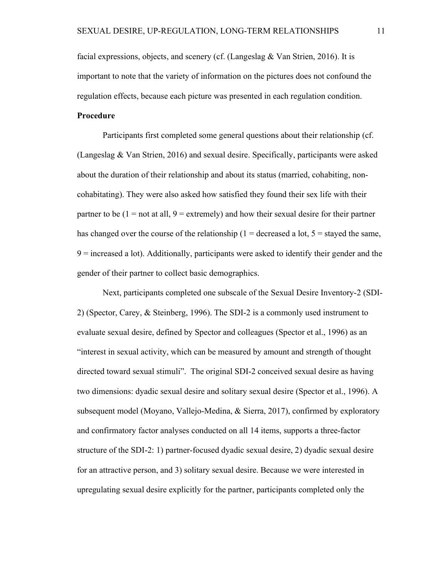facial expressions, objects, and scenery (cf. (Langeslag & Van Strien, 2016). It is important to note that the variety of information on the pictures does not confound the regulation effects, because each picture was presented in each regulation condition.

# Procedure

Participants first completed some general questions about their relationship (cf. (Langeslag & Van Strien, 2016) and sexual desire. Specifically, participants were asked about the duration of their relationship and about its status (married, cohabiting, noncohabitating). They were also asked how satisfied they found their sex life with their partner to be  $(1 = not at all, 9 = extremely)$  and how their sexual desire for their partner has changed over the course of the relationship ( $1 =$  decreased a lot,  $5 =$  stayed the same, 9 = increased a lot). Additionally, participants were asked to identify their gender and the gender of their partner to collect basic demographics.

Next, participants completed one subscale of the Sexual Desire Inventory-2 (SDI-2) (Spector, Carey, & Steinberg, 1996). The SDI-2 is a commonly used instrument to evaluate sexual desire, defined by Spector and colleagues (Spector et al., 1996) as an "interest in sexual activity, which can be measured by amount and strength of thought directed toward sexual stimuli". The original SDI-2 conceived sexual desire as having two dimensions: dyadic sexual desire and solitary sexual desire (Spector et al., 1996). A subsequent model (Moyano, Vallejo-Medina, & Sierra, 2017), confirmed by exploratory and confirmatory factor analyses conducted on all 14 items, supports a three-factor structure of the SDI-2: 1) partner-focused dyadic sexual desire, 2) dyadic sexual desire for an attractive person, and 3) solitary sexual desire. Because we were interested in upregulating sexual desire explicitly for the partner, participants completed only the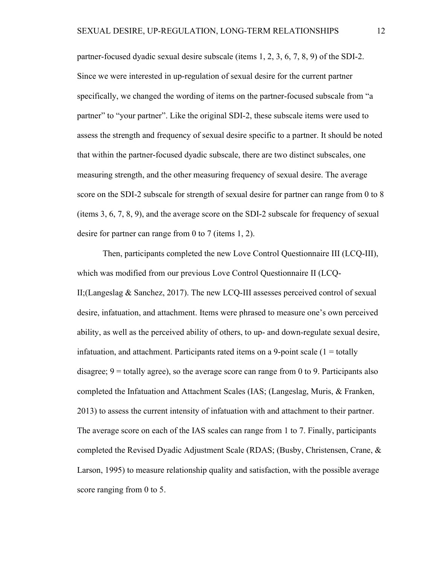partner-focused dyadic sexual desire subscale (items 1, 2, 3, 6, 7, 8, 9) of the SDI-2. Since we were interested in up-regulation of sexual desire for the current partner specifically, we changed the wording of items on the partner-focused subscale from "a partner" to "your partner". Like the original SDI-2, these subscale items were used to assess the strength and frequency of sexual desire specific to a partner. It should be noted that within the partner-focused dyadic subscale, there are two distinct subscales, one measuring strength, and the other measuring frequency of sexual desire. The average score on the SDI-2 subscale for strength of sexual desire for partner can range from 0 to 8 (items 3, 6, 7, 8, 9), and the average score on the SDI-2 subscale for frequency of sexual desire for partner can range from 0 to 7 (items 1, 2).

Then, participants completed the new Love Control Questionnaire III (LCQ-III), which was modified from our previous Love Control Questionnaire II (LCQ-II;(Langeslag & Sanchez, 2017). The new LCQ-III assesses perceived control of sexual desire, infatuation, and attachment. Items were phrased to measure one's own perceived ability, as well as the perceived ability of others, to up- and down-regulate sexual desire, infatuation, and attachment. Participants rated items on a 9-point scale  $(1 = \text{totally})$ disagree;  $9 =$  totally agree), so the average score can range from 0 to 9. Participants also completed the Infatuation and Attachment Scales (IAS; (Langeslag, Muris, & Franken, 2013) to assess the current intensity of infatuation with and attachment to their partner. The average score on each of the IAS scales can range from 1 to 7. Finally, participants completed the Revised Dyadic Adjustment Scale (RDAS; (Busby, Christensen, Crane, & Larson, 1995) to measure relationship quality and satisfaction, with the possible average score ranging from 0 to 5.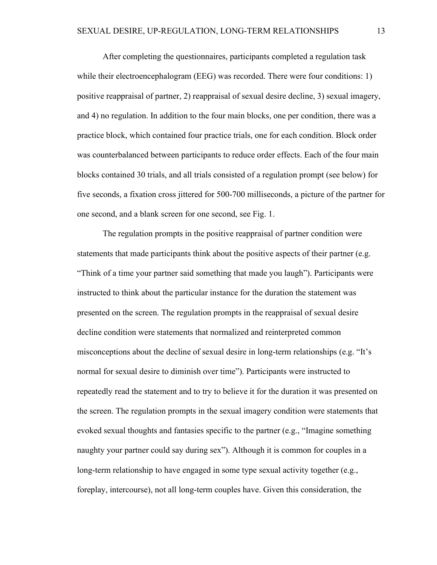After completing the questionnaires, participants completed a regulation task while their electroencephalogram (EEG) was recorded. There were four conditions: 1) positive reappraisal of partner, 2) reappraisal of sexual desire decline, 3) sexual imagery, and 4) no regulation. In addition to the four main blocks, one per condition, there was a practice block, which contained four practice trials, one for each condition. Block order was counterbalanced between participants to reduce order effects. Each of the four main blocks contained 30 trials, and all trials consisted of a regulation prompt (see below) for five seconds, a fixation cross jittered for 500-700 milliseconds, a picture of the partner for one second, and a blank screen for one second, see Fig. 1.

The regulation prompts in the positive reappraisal of partner condition were statements that made participants think about the positive aspects of their partner (e.g. "Think of a time your partner said something that made you laugh"). Participants were instructed to think about the particular instance for the duration the statement was presented on the screen. The regulation prompts in the reappraisal of sexual desire decline condition were statements that normalized and reinterpreted common misconceptions about the decline of sexual desire in long-term relationships (e.g. "It's normal for sexual desire to diminish over time"). Participants were instructed to repeatedly read the statement and to try to believe it for the duration it was presented on the screen. The regulation prompts in the sexual imagery condition were statements that evoked sexual thoughts and fantasies specific to the partner (e.g., "Imagine something naughty your partner could say during sex"). Although it is common for couples in a long-term relationship to have engaged in some type sexual activity together (e.g., foreplay, intercourse), not all long-term couples have. Given this consideration, the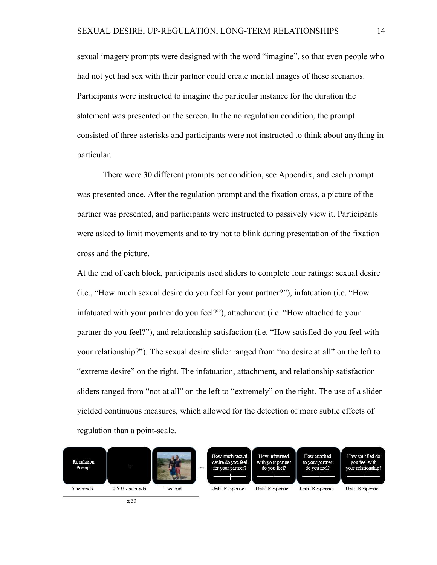sexual imagery prompts were designed with the word "imagine", so that even people who had not yet had sex with their partner could create mental images of these scenarios. Participants were instructed to imagine the particular instance for the duration the statement was presented on the screen. In the no regulation condition, the prompt consisted of three asterisks and participants were not instructed to think about anything in particular.

There were 30 different prompts per condition, see Appendix, and each prompt was presented once. After the regulation prompt and the fixation cross, a picture of the partner was presented, and participants were instructed to passively view it. Participants were asked to limit movements and to try not to blink during presentation of the fixation cross and the picture.

At the end of each block, participants used sliders to complete four ratings: sexual desire (i.e., "How much sexual desire do you feel for your partner?"), infatuation (i.e. "How infatuated with your partner do you feel?"), attachment (i.e. "How attached to your partner do you feel?"), and relationship satisfaction (i.e. "How satisfied do you feel with your relationship?"). The sexual desire slider ranged from "no desire at all" on the left to "extreme desire" on the right. The infatuation, attachment, and relationship satisfaction sliders ranged from "not at all" on the left to "extremely" on the right. The use of a slider yielded continuous measures, which allowed for the detection of more subtle effects of regulation than a point-scale.

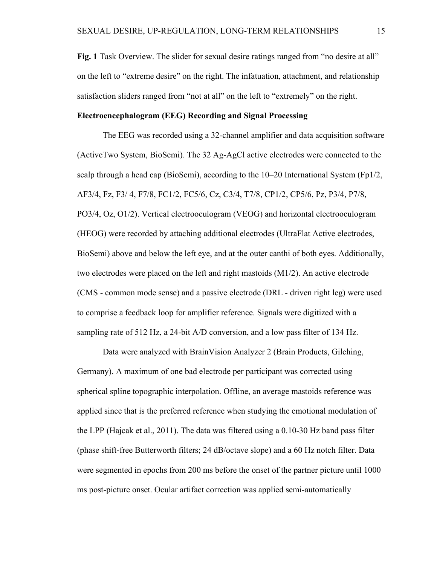Fig. 1 Task Overview. The slider for sexual desire ratings ranged from "no desire at all" on the left to "extreme desire" on the right. The infatuation, attachment, and relationship satisfaction sliders ranged from "not at all" on the left to "extremely" on the right.

# Electroencephalogram (EEG) Recording and Signal Processing

The EEG was recorded using a 32-channel amplifier and data acquisition software (ActiveTwo System, BioSemi). The 32 Ag-AgCl active electrodes were connected to the scalp through a head cap (BioSemi), according to the  $10-20$  International System (Fp1/2, AF3/4, Fz, F3/ 4, F7/8, FC1/2, FC5/6, Cz, C3/4, T7/8, CP1/2, CP5/6, Pz, P3/4, P7/8, PO3/4, Oz, O1/2). Vertical electrooculogram (VEOG) and horizontal electrooculogram (HEOG) were recorded by attaching additional electrodes (UltraFlat Active electrodes, BioSemi) above and below the left eye, and at the outer canthi of both eyes. Additionally, two electrodes were placed on the left and right mastoids (M1/2). An active electrode (CMS - common mode sense) and a passive electrode (DRL - driven right leg) were used to comprise a feedback loop for amplifier reference. Signals were digitized with a sampling rate of 512 Hz, a 24-bit A/D conversion, and a low pass filter of 134 Hz.

 Data were analyzed with BrainVision Analyzer 2 (Brain Products, Gilching, Germany). A maximum of one bad electrode per participant was corrected using spherical spline topographic interpolation. Offline, an average mastoids reference was applied since that is the preferred reference when studying the emotional modulation of the LPP (Hajcak et al., 2011). The data was filtered using a 0.10-30 Hz band pass filter (phase shift-free Butterworth filters; 24 dB/octave slope) and a 60 Hz notch filter. Data were segmented in epochs from 200 ms before the onset of the partner picture until 1000 ms post-picture onset. Ocular artifact correction was applied semi-automatically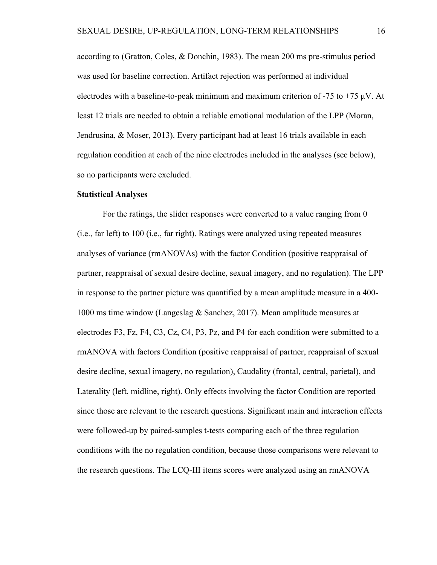according to (Gratton, Coles, & Donchin, 1983). The mean 200 ms pre-stimulus period was used for baseline correction. Artifact rejection was performed at individual electrodes with a baseline-to-peak minimum and maximum criterion of  $-75$  to  $+75 \mu V$ . At least 12 trials are needed to obtain a reliable emotional modulation of the LPP (Moran, Jendrusina, & Moser, 2013). Every participant had at least 16 trials available in each regulation condition at each of the nine electrodes included in the analyses (see below), so no participants were excluded.

#### Statistical Analyses

For the ratings, the slider responses were converted to a value ranging from 0 (i.e., far left) to 100 (i.e., far right). Ratings were analyzed using repeated measures analyses of variance (rmANOVAs) with the factor Condition (positive reappraisal of partner, reappraisal of sexual desire decline, sexual imagery, and no regulation). The LPP in response to the partner picture was quantified by a mean amplitude measure in a 400- 1000 ms time window (Langeslag & Sanchez, 2017). Mean amplitude measures at electrodes F3, Fz, F4, C3, Cz, C4, P3, Pz, and P4 for each condition were submitted to a rmANOVA with factors Condition (positive reappraisal of partner, reappraisal of sexual desire decline, sexual imagery, no regulation), Caudality (frontal, central, parietal), and Laterality (left, midline, right). Only effects involving the factor Condition are reported since those are relevant to the research questions. Significant main and interaction effects were followed-up by paired-samples t-tests comparing each of the three regulation conditions with the no regulation condition, because those comparisons were relevant to the research questions. The LCQ-III items scores were analyzed using an rmANOVA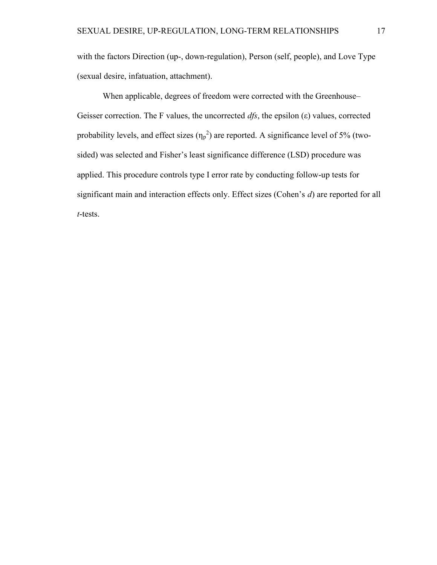with the factors Direction (up-, down-regulation), Person (self, people), and Love Type (sexual desire, infatuation, attachment).

When applicable, degrees of freedom were corrected with the Greenhouse– Geisser correction. The F values, the uncorrected  $dfs$ , the epsilon (ε) values, corrected probability levels, and effect sizes  $(\eta_p^2)$  are reported. A significance level of 5% (twosided) was selected and Fisher's least significance difference (LSD) procedure was applied. This procedure controls type I error rate by conducting follow-up tests for significant main and interaction effects only. Effect sizes (Cohen's d) are reported for all t-tests.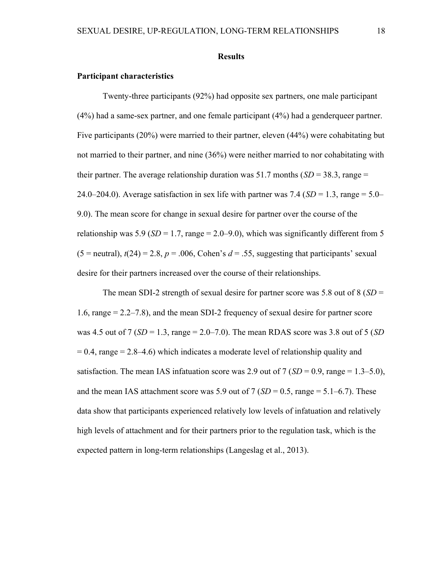#### Results

### Participant characteristics

Twenty-three participants (92%) had opposite sex partners, one male participant (4%) had a same-sex partner, and one female participant (4%) had a genderqueer partner. Five participants (20%) were married to their partner, eleven (44%) were cohabitating but not married to their partner, and nine (36%) were neither married to nor cohabitating with their partner. The average relationship duration was 51.7 months  $(SD = 38.3, \text{range} =$ 24.0–204.0). Average satisfaction in sex life with partner was 7.4 ( $SD = 1.3$ , range = 5.0– 9.0). The mean score for change in sexual desire for partner over the course of the relationship was 5.9 ( $SD = 1.7$ , range = 2.0–9.0), which was significantly different from 5  $(5 =$  neutral),  $t(24) = 2.8$ ,  $p = .006$ , Cohen's  $d = .55$ , suggesting that participants' sexual desire for their partners increased over the course of their relationships.

The mean SDI-2 strength of sexual desire for partner score was 5.8 out of  $8(SD =$ 1.6, range = 2.2–7.8), and the mean SDI-2 frequency of sexual desire for partner score was 4.5 out of 7 ( $SD = 1.3$ , range  $= 2.0 - 7.0$ ). The mean RDAS score was 3.8 out of 5 ( $SD$ )  $= 0.4$ , range  $= 2.8 - 4.6$ ) which indicates a moderate level of relationship quality and satisfaction. The mean IAS infatuation score was 2.9 out of 7 ( $SD = 0.9$ , range = 1.3–5.0), and the mean IAS attachment score was 5.9 out of 7 ( $SD = 0.5$ , range = 5.1–6.7). These data show that participants experienced relatively low levels of infatuation and relatively high levels of attachment and for their partners prior to the regulation task, which is the expected pattern in long-term relationships (Langeslag et al., 2013).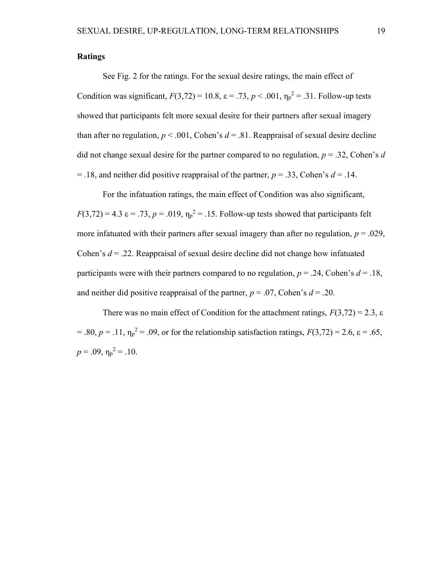# Ratings

See Fig. 2 for the ratings. For the sexual desire ratings, the main effect of Condition was significant,  $F(3,72) = 10.8$ ,  $\varepsilon = .73$ ,  $p < .001$ ,  $\eta_p^2 = .31$ . Follow-up tests showed that participants felt more sexual desire for their partners after sexual imagery than after no regulation,  $p < .001$ , Cohen's  $d = .81$ . Reappraisal of sexual desire decline did not change sexual desire for the partner compared to no regulation,  $p = 0.32$ , Cohen's d  $=$  .18, and neither did positive reappraisal of the partner,  $p = 0.33$ , Cohen's  $d = 0.14$ .

For the infatuation ratings, the main effect of Condition was also significant,  $F(3,72) = 4.3 \text{ }\epsilon = .73, p = .019, \eta_p^2 = .15. \text{ Follow-up tests showed that participants felt}$ more infatuated with their partners after sexual imagery than after no regulation,  $p = .029$ , Cohen's  $d = 0.22$ . Reappraisal of sexual desire decline did not change how infatuated participants were with their partners compared to no regulation,  $p = .24$ , Cohen's  $d = .18$ , and neither did positive reappraisal of the partner,  $p = .07$ , Cohen's  $d = .20$ .

There was no main effect of Condition for the attachment ratings,  $F(3,72) = 2.3$ ,  $\varepsilon$ = .80,  $p = .11$ ,  $\eta_p^2 = .09$ , or for the relationship satisfaction ratings,  $F(3,72) = 2.6$ ,  $\varepsilon = .65$ ,  $p = .09$ ,  $\eta_p^2 = .10$ .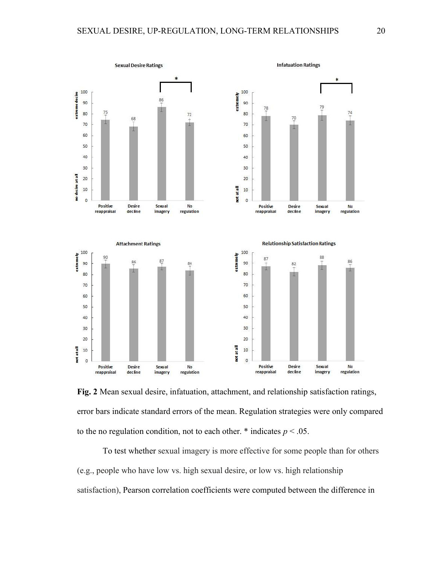

Fig. 2 Mean sexual desire, infatuation, attachment, and relationship satisfaction ratings, error bars indicate standard errors of the mean. Regulation strategies were only compared to the no regulation condition, not to each other.  $*$  indicates  $p < .05$ .

To test whether sexual imagery is more effective for some people than for others (e.g., people who have low vs. high sexual desire, or low vs. high relationship satisfaction), Pearson correlation coefficients were computed between the difference in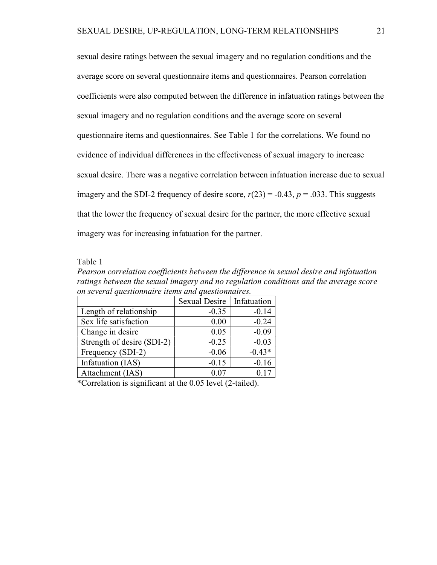sexual desire ratings between the sexual imagery and no regulation conditions and the average score on several questionnaire items and questionnaires. Pearson correlation coefficients were also computed between the difference in infatuation ratings between the sexual imagery and no regulation conditions and the average score on several questionnaire items and questionnaires. See Table 1 for the correlations. We found no evidence of individual differences in the effectiveness of sexual imagery to increase sexual desire. There was a negative correlation between infatuation increase due to sexual imagery and the SDI-2 frequency of desire score,  $r(23) = -0.43$ ,  $p = .033$ . This suggests that the lower the frequency of sexual desire for the partner, the more effective sexual imagery was for increasing infatuation for the partner.

Table 1

Pearson correlation coefficients between the difference in sexual desire and infatuation ratings between the sexual imagery and no regulation conditions and the average score on several questionnaire items and questionnaires.

|                            | <b>Sexual Desire</b> | Infatuation |
|----------------------------|----------------------|-------------|
| Length of relationship     | $-0.35$              | $-0.14$     |
| Sex life satisfaction      | 0.00                 | $-0.24$     |
| Change in desire           | 0.05                 | $-0.09$     |
| Strength of desire (SDI-2) | $-0.25$              | $-0.03$     |
| Frequency (SDI-2)          | $-0.06$              | $-0.43*$    |
| Infatuation (IAS)          | $-0.15$              | $-0.16$     |
| Attachment (IAS)           | 0.07                 | 0.17        |

\*Correlation is significant at the 0.05 level (2-tailed).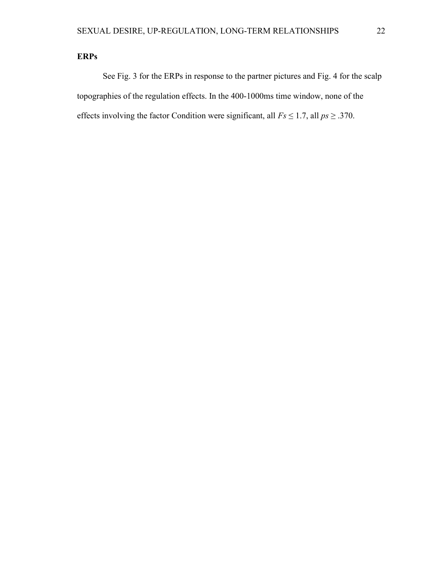# ERPs

 See Fig. 3 for the ERPs in response to the partner pictures and Fig. 4 for the scalp topographies of the regulation effects. In the 400-1000ms time window, none of the effects involving the factor Condition were significant, all  $Fs \le 1.7$ , all  $ps \ge .370$ .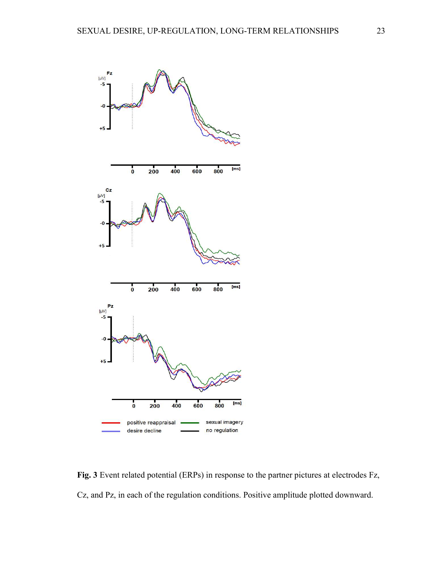

Fig. 3 Event related potential (ERPs) in response to the partner pictures at electrodes Fz, Cz, and Pz, in each of the regulation conditions. Positive amplitude plotted downward.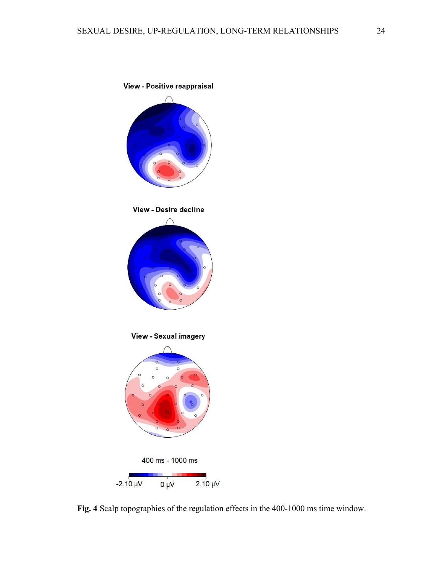

Fig. 4 Scalp topographies of the regulation effects in the 400-1000 ms time window.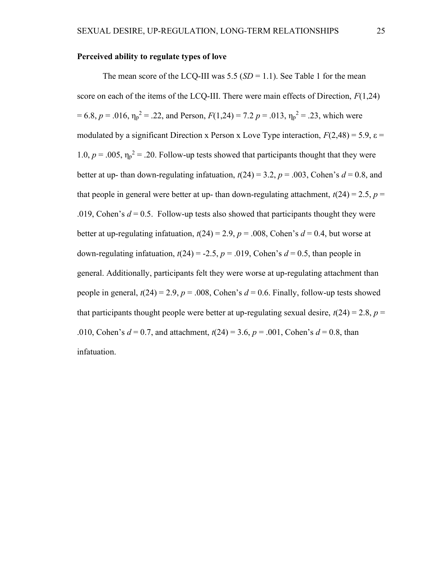# Perceived ability to regulate types of love

The mean score of the LCQ-III was 5.5 ( $SD = 1.1$ ). See Table 1 for the mean score on each of the items of the LCO-III. There were main effects of Direction,  $F(1,24)$ = 6.8,  $p = .016$ ,  $\eta_p^2 = .22$ , and Person,  $F(1,24) = 7.2 p = .013$ ,  $\eta_p^2 = .23$ , which were modulated by a significant Direction x Person x Love Type interaction,  $F(2,48) = 5.9$ ,  $\varepsilon =$ 1.0,  $p = .005$ ,  $\eta_p^2 = .20$ . Follow-up tests showed that participants thought that they were better at up- than down-regulating infatuation,  $t(24) = 3.2$ ,  $p = .003$ , Cohen's  $d = 0.8$ , and that people in general were better at up- than down-regulating attachment,  $t(24) = 2.5$ ,  $p =$ .019, Cohen's  $d = 0.5$ . Follow-up tests also showed that participants thought they were better at up-regulating infatuation,  $t(24) = 2.9$ ,  $p = .008$ , Cohen's  $d = 0.4$ , but worse at down-regulating infatuation,  $t(24) = -2.5$ ,  $p = .019$ , Cohen's  $d = 0.5$ , than people in general. Additionally, participants felt they were worse at up-regulating attachment than people in general,  $t(24) = 2.9$ ,  $p = .008$ , Cohen's  $d = 0.6$ . Finally, follow-up tests showed that participants thought people were better at up-regulating sexual desire,  $t(24) = 2.8$ ,  $p =$ .010, Cohen's  $d = 0.7$ , and attachment,  $t(24) = 3.6$ ,  $p = .001$ , Cohen's  $d = 0.8$ , than infatuation.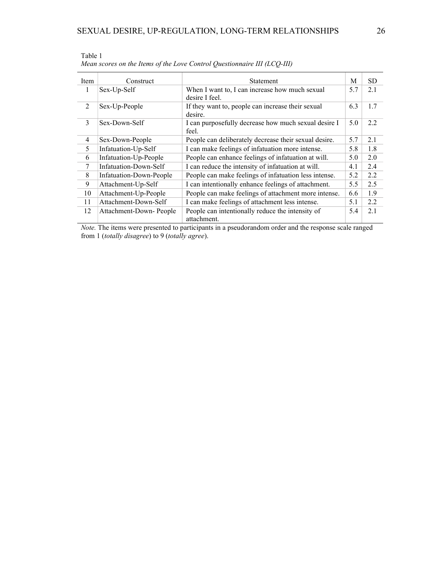| Item | Construct               | Statement                                                        | M   | <b>SD</b> |
|------|-------------------------|------------------------------------------------------------------|-----|-----------|
| 1    | Sex-Up-Self             | When I want to, I can increase how much sexual<br>desire I feel. | 5.7 | 2.1       |
| 2    | Sex-Up-People           | If they want to, people can increase their sexual<br>desire.     | 6.3 | 1.7       |
| 3    | Sex-Down-Self           | I can purposefully decrease how much sexual desire I<br>feel.    | 5.0 | 2.2       |
| 4    | Sex-Down-People         | People can deliberately decrease their sexual desire.            | 5.7 | 2.1       |
| 5    | Infatuation-Up-Self     | I can make feelings of infatuation more intense.                 | 5.8 | 1.8       |
| 6    | Infatuation-Up-People   | People can enhance feelings of infatuation at will.              | 5.0 | 2.0       |
| 7    | Infatuation-Down-Self   | I can reduce the intensity of infatuation at will.               | 4.1 | 2.4       |
| 8    | Infatuation-Down-People | People can make feelings of infatuation less intense.            | 5.2 | 2.2       |
| 9    | Attachment-Up-Self      | I can intentionally enhance feelings of attachment.              | 5.5 | 2.5       |
| 10   | Attachment-Up-People    | People can make feelings of attachment more intense.             | 6.6 | 1.9       |
| 11   | Attachment-Down-Self    | I can make feelings of attachment less intense.                  | 5.1 | 2.2       |
| 12   | Attachment-Down-People  | People can intentionally reduce the intensity of<br>attachment.  | 5.4 | 2.1       |

| Table 1                                                                  |  |
|--------------------------------------------------------------------------|--|
| Mean scores on the Items of the Love Control Questionnaire III (LCQ-III) |  |

Note. The items were presented to participants in a pseudorandom order and the response scale ranged from 1 (totally disagree) to 9 (totally agree).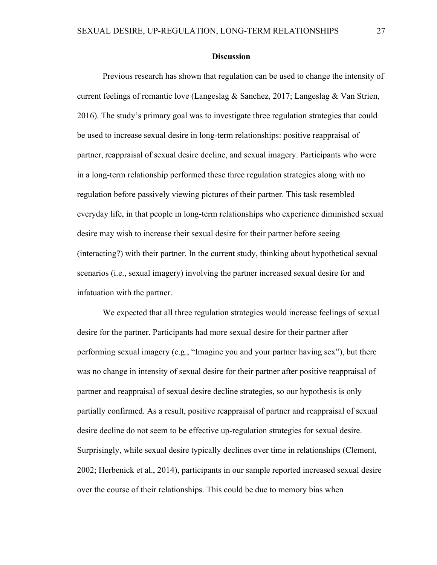#### **Discussion**

Previous research has shown that regulation can be used to change the intensity of current feelings of romantic love (Langeslag & Sanchez, 2017; Langeslag & Van Strien, 2016). The study's primary goal was to investigate three regulation strategies that could be used to increase sexual desire in long-term relationships: positive reappraisal of partner, reappraisal of sexual desire decline, and sexual imagery. Participants who were in a long-term relationship performed these three regulation strategies along with no regulation before passively viewing pictures of their partner. This task resembled everyday life, in that people in long-term relationships who experience diminished sexual desire may wish to increase their sexual desire for their partner before seeing (interacting?) with their partner. In the current study, thinking about hypothetical sexual scenarios (i.e., sexual imagery) involving the partner increased sexual desire for and infatuation with the partner.

We expected that all three regulation strategies would increase feelings of sexual desire for the partner. Participants had more sexual desire for their partner after performing sexual imagery (e.g., "Imagine you and your partner having sex"), but there was no change in intensity of sexual desire for their partner after positive reappraisal of partner and reappraisal of sexual desire decline strategies, so our hypothesis is only partially confirmed. As a result, positive reappraisal of partner and reappraisal of sexual desire decline do not seem to be effective up-regulation strategies for sexual desire. Surprisingly, while sexual desire typically declines over time in relationships (Clement, 2002; Herbenick et al., 2014), participants in our sample reported increased sexual desire over the course of their relationships. This could be due to memory bias when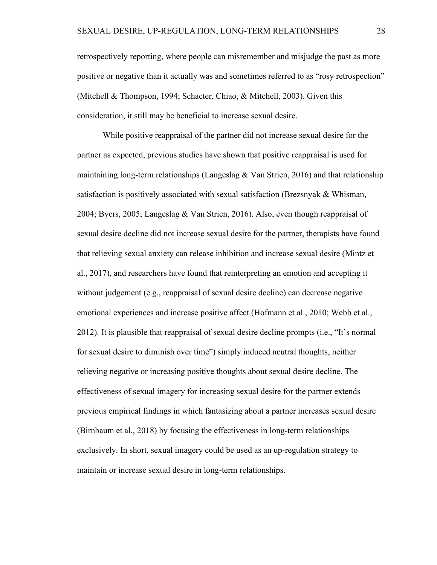retrospectively reporting, where people can misremember and misjudge the past as more positive or negative than it actually was and sometimes referred to as "rosy retrospection" (Mitchell & Thompson, 1994; Schacter, Chiao, & Mitchell, 2003). Given this consideration, it still may be beneficial to increase sexual desire.

While positive reappraisal of the partner did not increase sexual desire for the partner as expected, previous studies have shown that positive reappraisal is used for maintaining long-term relationships (Langeslag  $&$  Van Strien, 2016) and that relationship satisfaction is positively associated with sexual satisfaction (Brezsnyak & Whisman, 2004; Byers, 2005; Langeslag & Van Strien, 2016). Also, even though reappraisal of sexual desire decline did not increase sexual desire for the partner, therapists have found that relieving sexual anxiety can release inhibition and increase sexual desire (Mintz et al., 2017), and researchers have found that reinterpreting an emotion and accepting it without judgement (e.g., reappraisal of sexual desire decline) can decrease negative emotional experiences and increase positive affect (Hofmann et al., 2010; Webb et al., 2012). It is plausible that reappraisal of sexual desire decline prompts (i.e., "It's normal for sexual desire to diminish over time") simply induced neutral thoughts, neither relieving negative or increasing positive thoughts about sexual desire decline. The effectiveness of sexual imagery for increasing sexual desire for the partner extends previous empirical findings in which fantasizing about a partner increases sexual desire (Birnbaum et al., 2018) by focusing the effectiveness in long-term relationships exclusively. In short, sexual imagery could be used as an up-regulation strategy to maintain or increase sexual desire in long-term relationships.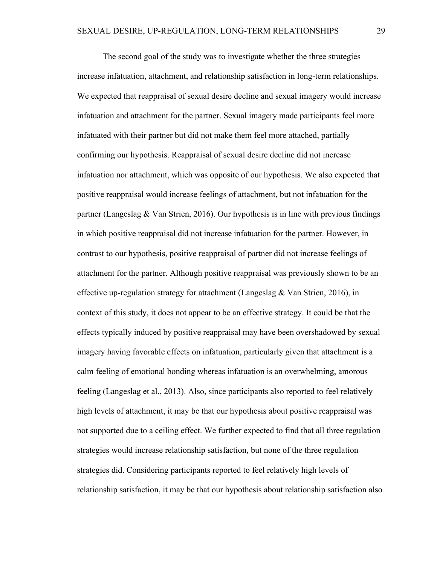The second goal of the study was to investigate whether the three strategies increase infatuation, attachment, and relationship satisfaction in long-term relationships. We expected that reappraisal of sexual desire decline and sexual imagery would increase infatuation and attachment for the partner. Sexual imagery made participants feel more infatuated with their partner but did not make them feel more attached, partially confirming our hypothesis. Reappraisal of sexual desire decline did not increase infatuation nor attachment, which was opposite of our hypothesis. We also expected that positive reappraisal would increase feelings of attachment, but not infatuation for the partner (Langeslag & Van Strien, 2016). Our hypothesis is in line with previous findings in which positive reappraisal did not increase infatuation for the partner. However, in contrast to our hypothesis, positive reappraisal of partner did not increase feelings of attachment for the partner. Although positive reappraisal was previously shown to be an effective up-regulation strategy for attachment (Langeslag & Van Strien, 2016), in context of this study, it does not appear to be an effective strategy. It could be that the effects typically induced by positive reappraisal may have been overshadowed by sexual imagery having favorable effects on infatuation, particularly given that attachment is a calm feeling of emotional bonding whereas infatuation is an overwhelming, amorous feeling (Langeslag et al., 2013). Also, since participants also reported to feel relatively high levels of attachment, it may be that our hypothesis about positive reappraisal was not supported due to a ceiling effect. We further expected to find that all three regulation strategies would increase relationship satisfaction, but none of the three regulation strategies did. Considering participants reported to feel relatively high levels of relationship satisfaction, it may be that our hypothesis about relationship satisfaction also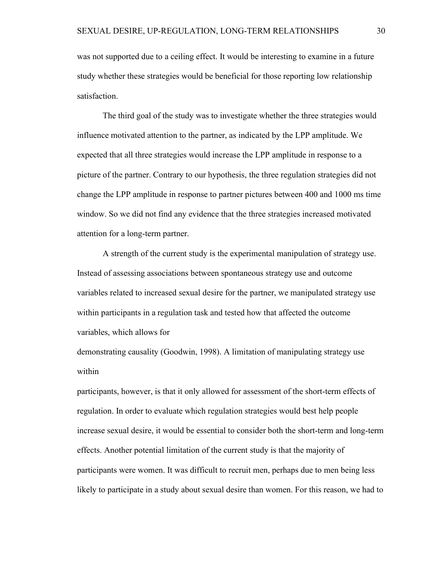was not supported due to a ceiling effect. It would be interesting to examine in a future study whether these strategies would be beneficial for those reporting low relationship satisfaction.

The third goal of the study was to investigate whether the three strategies would influence motivated attention to the partner, as indicated by the LPP amplitude. We expected that all three strategies would increase the LPP amplitude in response to a picture of the partner. Contrary to our hypothesis, the three regulation strategies did not change the LPP amplitude in response to partner pictures between 400 and 1000 ms time window. So we did not find any evidence that the three strategies increased motivated attention for a long-term partner.

A strength of the current study is the experimental manipulation of strategy use. Instead of assessing associations between spontaneous strategy use and outcome variables related to increased sexual desire for the partner, we manipulated strategy use within participants in a regulation task and tested how that affected the outcome variables, which allows for

demonstrating causality (Goodwin, 1998). A limitation of manipulating strategy use within

participants, however, is that it only allowed for assessment of the short-term effects of regulation. In order to evaluate which regulation strategies would best help people increase sexual desire, it would be essential to consider both the short-term and long-term effects. Another potential limitation of the current study is that the majority of participants were women. It was difficult to recruit men, perhaps due to men being less likely to participate in a study about sexual desire than women. For this reason, we had to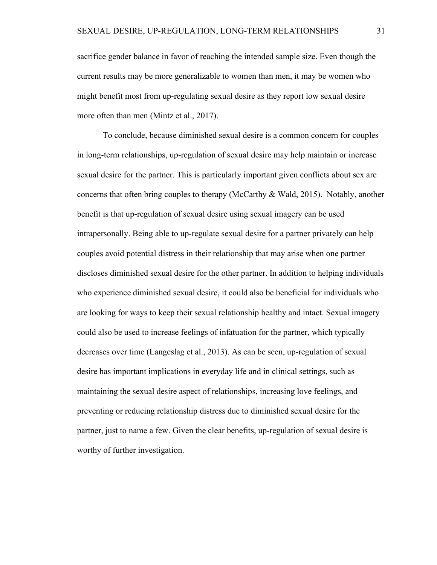sacrifice gender balance in favor of reaching the intended sample size. Even though the current results may be more generalizable to women than men, it may be women who might benefit most from up-regulating sexual desire as they report low sexual desire more often than men (Mintz et al., 2017).

To conclude, because diminished sexual desire is a common concern for couples in long-term relationships, up-regulation of sexual desire may help maintain or increase sexual desire for the partner. This is particularly important given conflicts about sex are concerns that often bring couples to therapy (McCarthy & Wald, 2015). Notably, another benefit is that up-regulation of sexual desire using sexual imagery can be used intrapersonally. Being able to up-regulate sexual desire for a partner privately can help couples avoid potential distress in their relationship that may arise when one partner discloses diminished sexual desire for the other partner. In addition to helping individuals who experience diminished sexual desire, it could also be beneficial for individuals who are looking for ways to keep their sexual relationship healthy and intact. Sexual imagery could also be used to increase feelings of infatuation for the partner, which typically decreases over time (Langeslag et al., 2013). As can be seen, up-regulation of sexual desire has important implications in everyday life and in clinical settings, such as maintaining the sexual desire aspect of relationships, increasing love feelings, and preventing or reducing relationship distress due to diminished sexual desire for the partner, just to name a few. Given the clear benefits, up-regulation of sexual desire is worthy of further investigation.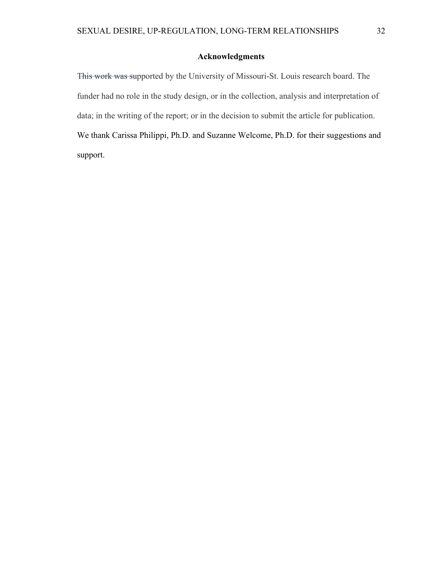# Acknowledgments

This work was supported by the University of Missouri-St. Louis research board. The funder had no role in the study design, or in the collection, analysis and interpretation of data; in the writing of the report; or in the decision to submit the article for publication. We thank Carissa Philippi, Ph.D. and Suzanne Welcome, Ph.D. for their suggestions and support.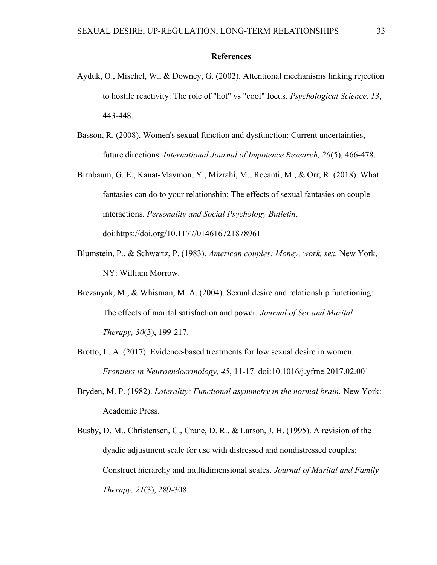## References

- Ayduk, O., Mischel, W., & Downey, G. (2002). Attentional mechanisms linking rejection to hostile reactivity: The role of "hot" vs "cool" focus. Psychological Science, 13, 443-448.
- Basson, R. (2008). Women's sexual function and dysfunction: Current uncertainties, future directions. International Journal of Impotence Research, 20(5), 466-478.
- Birnbaum, G. E., Kanat-Maymon, Y., Mizrahi, M., Recanti, M., & Orr, R. (2018). What fantasies can do to your relationship: The effects of sexual fantasies on couple interactions. Personality and Social Psychology Bulletin. doi:https://doi.org/10.1177/0146167218789611
- Blumstein, P., & Schwartz, P. (1983). American couples: Money, work, sex. New York, NY: William Morrow.
- Brezsnyak, M., & Whisman, M. A. (2004). Sexual desire and relationship functioning: The effects of marital satisfaction and power. Journal of Sex and Marital Therapy, 30(3), 199-217.
- Brotto, L. A. (2017). Evidence-based treatments for low sexual desire in women. Frontiers in Neuroendocrinology, 45, 11-17. doi:10.1016/j.yfrne.2017.02.001
- Bryden, M. P. (1982). Laterality: Functional asymmetry in the normal brain. New York: Academic Press.
- Busby, D. M., Christensen, C., Crane, D. R., & Larson, J. H. (1995). A revision of the dyadic adjustment scale for use with distressed and nondistressed couples: Construct hierarchy and multidimensional scales. Journal of Marital and Family Therapy, 21(3), 289-308.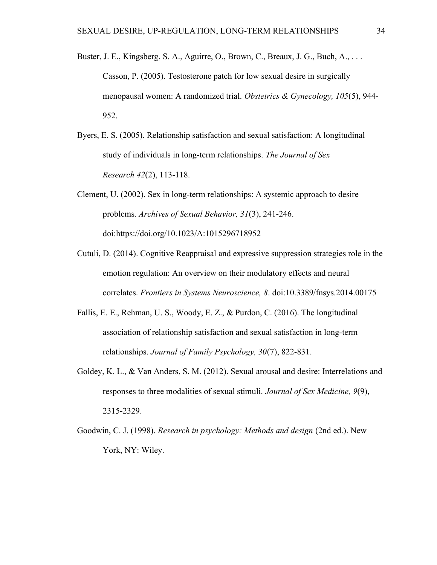- Buster, J. E., Kingsberg, S. A., Aguirre, O., Brown, C., Breaux, J. G., Buch, A., . . . Casson, P. (2005). Testosterone patch for low sexual desire in surgically menopausal women: A randomized trial. Obstetrics & Gynecology, 105(5), 944- 952.
- Byers, E. S. (2005). Relationship satisfaction and sexual satisfaction: A longitudinal study of individuals in long-term relationships. The Journal of Sex Research 42(2), 113-118.
- Clement, U. (2002). Sex in long-term relationships: A systemic approach to desire problems. Archives of Sexual Behavior, 31(3), 241-246. doi:https://doi.org/10.1023/A:1015296718952
- Cutuli, D. (2014). Cognitive Reappraisal and expressive suppression strategies role in the emotion regulation: An overview on their modulatory effects and neural correlates. Frontiers in Systems Neuroscience, 8. doi:10.3389/fnsys.2014.00175
- Fallis, E. E., Rehman, U. S., Woody, E. Z., & Purdon, C. (2016). The longitudinal association of relationship satisfaction and sexual satisfaction in long-term relationships. Journal of Family Psychology, 30(7), 822-831.
- Goldey, K. L., & Van Anders, S. M. (2012). Sexual arousal and desire: Interrelations and responses to three modalities of sexual stimuli. Journal of Sex Medicine, 9(9), 2315-2329.
- Goodwin, C. J. (1998). Research in psychology: Methods and design (2nd ed.). New York, NY: Wiley.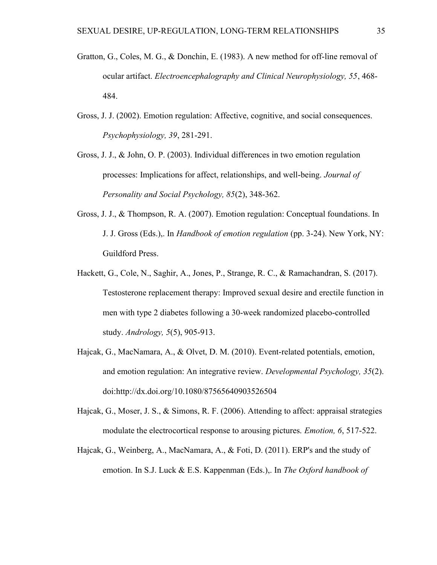- Gratton, G., Coles, M. G., & Donchin, E. (1983). A new method for off-line removal of ocular artifact. Electroencephalography and Clinical Neurophysiology, 55, 468- 484.
- Gross, J. J. (2002). Emotion regulation: Affective, cognitive, and social consequences. Psychophysiology, 39, 281-291.
- Gross, J. J., & John, O. P. (2003). Individual differences in two emotion regulation processes: Implications for affect, relationships, and well-being. Journal of Personality and Social Psychology, 85(2), 348-362.
- Gross, J. J., & Thompson, R. A. (2007). Emotion regulation: Conceptual foundations. In J. J. Gross (Eds.),. In Handbook of emotion regulation (pp. 3-24). New York, NY: Guildford Press.
- Hackett, G., Cole, N., Saghir, A., Jones, P., Strange, R. C., & Ramachandran, S. (2017). Testosterone replacement therapy: Improved sexual desire and erectile function in men with type 2 diabetes following a 30-week randomized placebo-controlled study. Andrology, 5(5), 905-913.
- Hajcak, G., MacNamara, A., & Olvet, D. M. (2010). Event-related potentials, emotion, and emotion regulation: An integrative review. Developmental Psychology, 35(2). doi:http://dx.doi.org/10.1080/87565640903526504
- Hajcak, G., Moser, J. S., & Simons, R. F. (2006). Attending to affect: appraisal strategies modulate the electrocortical response to arousing pictures. Emotion, 6, 517-522.
- Hajcak, G., Weinberg, A., MacNamara, A., & Foti, D. (2011). ERP's and the study of emotion. In S.J. Luck & E.S. Kappenman (Eds.),. In The Oxford handbook of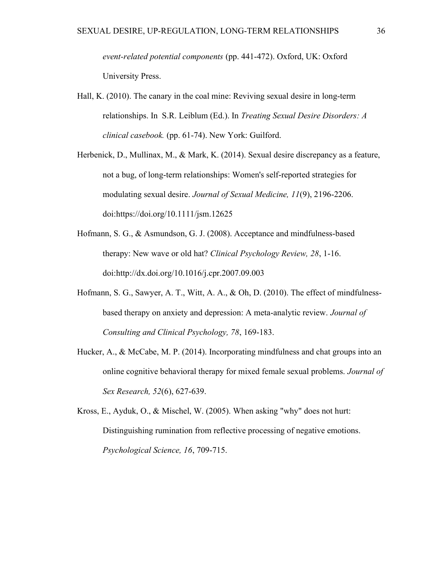event-related potential components (pp. 441-472). Oxford, UK: Oxford University Press.

- Hall, K. (2010). The canary in the coal mine: Reviving sexual desire in long-term relationships. In S.R. Leiblum (Ed.). In Treating Sexual Desire Disorders: A clinical casebook. (pp. 61-74). New York: Guilford.
- Herbenick, D., Mullinax, M., & Mark, K. (2014). Sexual desire discrepancy as a feature, not a bug, of long-term relationships: Women's self-reported strategies for modulating sexual desire. Journal of Sexual Medicine, 11(9), 2196-2206. doi:https://doi.org/10.1111/jsm.12625
- Hofmann, S. G., & Asmundson, G. J. (2008). Acceptance and mindfulness-based therapy: New wave or old hat? Clinical Psychology Review, 28, 1-16. doi:http://dx.doi.org/10.1016/j.cpr.2007.09.003
- Hofmann, S. G., Sawyer, A. T., Witt, A. A., & Oh, D. (2010). The effect of mindfulnessbased therapy on anxiety and depression: A meta-analytic review. Journal of Consulting and Clinical Psychology, 78, 169-183.
- Hucker, A., & McCabe, M. P. (2014). Incorporating mindfulness and chat groups into an online cognitive behavioral therapy for mixed female sexual problems. Journal of Sex Research, 52(6), 627-639.

Kross, E., Ayduk, O., & Mischel, W. (2005). When asking "why" does not hurt: Distinguishing rumination from reflective processing of negative emotions. Psychological Science, 16, 709-715.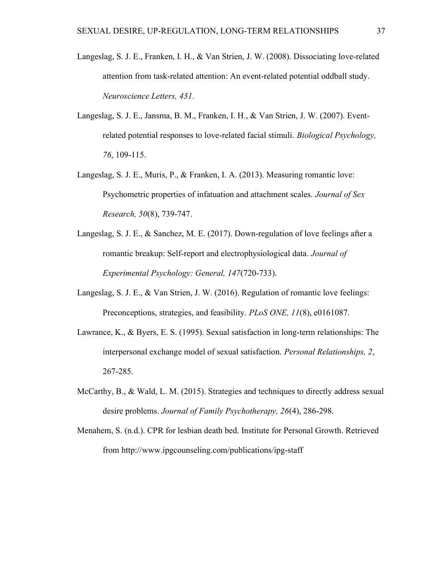- Langeslag, S. J. E., Franken, I. H., & Van Strien, J. W. (2008). Dissociating love-related attention from task-related attention: An event-related potential oddball study. Neuroscience Letters, 431.
- Langeslag, S. J. E., Jansma, B. M., Franken, I. H., & Van Strien, J. W. (2007). Eventrelated potential responses to love-related facial stimuli. Biological Psychology, 76, 109-115.
- Langeslag, S. J. E., Muris, P., & Franken, I. A. (2013). Measuring romantic love: Psychometric properties of infatuation and attachment scales. Journal of Sex Research, 50(8), 739-747.
- Langeslag, S. J. E., & Sanchez, M. E. (2017). Down-regulation of love feelings after a romantic breakup: Self-report and electrophysiological data. Journal of Experimental Psychology: General, 147(720-733).
- Langeslag, S. J. E., & Van Strien, J. W. (2016). Regulation of romantic love feelings: Preconceptions, strategies, and feasibility. *PLoS ONE*, 11(8), e0161087.
- Lawrance, K., & Byers, E. S. (1995). Sexual satisfaction in long-term relationships: The interpersonal exchange model of sexual satisfaction. Personal Relationships, 2, 267-285.
- McCarthy, B., & Wald, L. M. (2015). Strategies and techniques to directly address sexual desire problems. Journal of Family Psychotherapy, 26(4), 286-298.
- Menahem, S. (n.d.). CPR for lesbian death bed. Institute for Personal Growth. Retrieved from http://www.ipgcounseling.com/publications/ipg-staff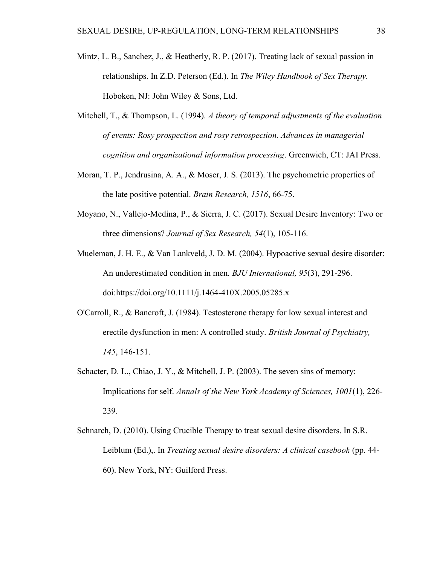- Mintz, L. B., Sanchez, J., & Heatherly, R. P. (2017). Treating lack of sexual passion in relationships. In Z.D. Peterson (Ed.). In The Wiley Handbook of Sex Therapy. Hoboken, NJ: John Wiley & Sons, Ltd.
- Mitchell, T., & Thompson, L. (1994). A theory of temporal adjustments of the evaluation of events: Rosy prospection and rosy retrospection. Advances in managerial cognition and organizational information processing. Greenwich, CT: JAI Press.
- Moran, T. P., Jendrusina, A. A., & Moser, J. S. (2013). The psychometric properties of the late positive potential. Brain Research, 1516, 66-75.
- Moyano, N., Vallejo-Medina, P., & Sierra, J. C. (2017). Sexual Desire Inventory: Two or three dimensions? Journal of Sex Research, 54(1), 105-116.
- Mueleman, J. H. E., & Van Lankveld, J. D. M. (2004). Hypoactive sexual desire disorder: An underestimated condition in men. BJU International, 95(3), 291-296. doi:https://doi.org/10.1111/j.1464-410X.2005.05285.x
- O'Carroll, R., & Bancroft, J. (1984). Testosterone therapy for low sexual interest and erectile dysfunction in men: A controlled study. British Journal of Psychiatry, 145, 146-151.
- Schacter, D. L., Chiao, J. Y., & Mitchell, J. P. (2003). The seven sins of memory: Implications for self. Annals of the New York Academy of Sciences, 1001(1), 226- 239.
- Schnarch, D. (2010). Using Crucible Therapy to treat sexual desire disorders. In S.R. Leiblum (Ed.),. In *Treating sexual desire disorders: A clinical casebook* (pp. 44-60). New York, NY: Guilford Press.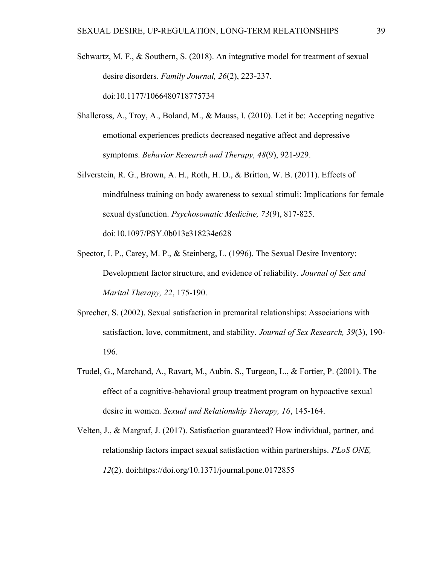- Schwartz, M. F., & Southern, S. (2018). An integrative model for treatment of sexual desire disorders. Family Journal, 26(2), 223-237. doi:10.1177/1066480718775734
- Shallcross, A., Troy, A., Boland, M., & Mauss, I. (2010). Let it be: Accepting negative emotional experiences predicts decreased negative affect and depressive symptoms. Behavior Research and Therapy, 48(9), 921-929.
- Silverstein, R. G., Brown, A. H., Roth, H. D., & Britton, W. B. (2011). Effects of mindfulness training on body awareness to sexual stimuli: Implications for female sexual dysfunction. Psychosomatic Medicine, 73(9), 817-825. doi:10.1097/PSY.0b013e318234e628
- Spector, I. P., Carey, M. P., & Steinberg, L. (1996). The Sexual Desire Inventory: Development factor structure, and evidence of reliability. Journal of Sex and Marital Therapy, 22, 175-190.
- Sprecher, S. (2002). Sexual satisfaction in premarital relationships: Associations with satisfaction, love, commitment, and stability. Journal of Sex Research, 39(3), 190- 196.
- Trudel, G., Marchand, A., Ravart, M., Aubin, S., Turgeon, L., & Fortier, P. (2001). The effect of a cognitive-behavioral group treatment program on hypoactive sexual desire in women. Sexual and Relationship Therapy, 16, 145-164.
- Velten, J., & Margraf, J. (2017). Satisfaction guaranteed? How individual, partner, and relationship factors impact sexual satisfaction within partnerships. PLoS ONE, 12(2). doi:https://doi.org/10.1371/journal.pone.0172855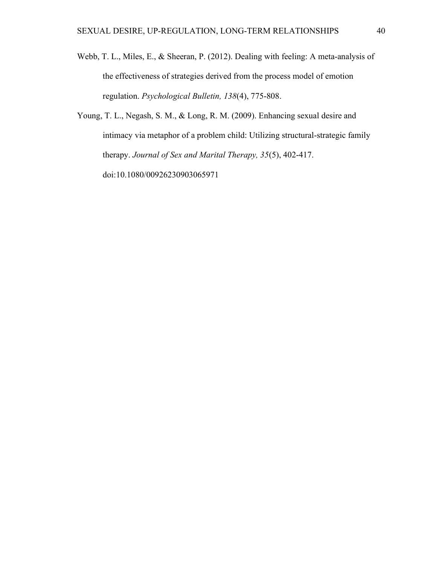- Webb, T. L., Miles, E., & Sheeran, P. (2012). Dealing with feeling: A meta-analysis of the effectiveness of strategies derived from the process model of emotion regulation. Psychological Bulletin, 138(4), 775-808.
- Young, T. L., Negash, S. M., & Long, R. M. (2009). Enhancing sexual desire and intimacy via metaphor of a problem child: Utilizing structural-strategic family therapy. Journal of Sex and Marital Therapy, 35(5), 402-417. doi:10.1080/00926230903065971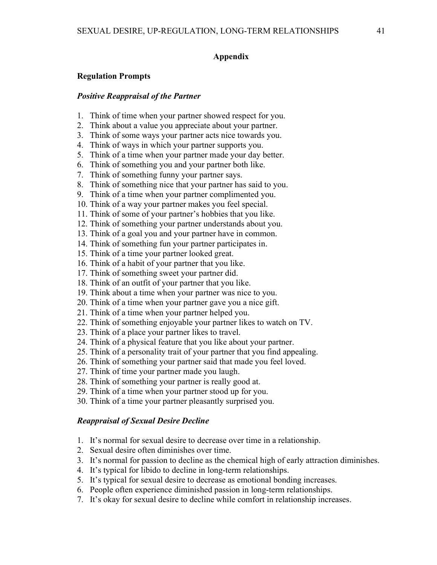# Appendix

#### Regulation Prompts

#### Positive Reappraisal of the Partner

- 1. Think of time when your partner showed respect for you.
- 2. Think about a value you appreciate about your partner.
- 3. Think of some ways your partner acts nice towards you.
- 4. Think of ways in which your partner supports you.
- 5. Think of a time when your partner made your day better.
- 6. Think of something you and your partner both like.
- 7. Think of something funny your partner says.
- 8. Think of something nice that your partner has said to you.
- 9. Think of a time when your partner complimented you.
- 10. Think of a way your partner makes you feel special.
- 11. Think of some of your partner's hobbies that you like.
- 12. Think of something your partner understands about you.
- 13. Think of a goal you and your partner have in common.
- 14. Think of something fun your partner participates in.
- 15. Think of a time your partner looked great.
- 16. Think of a habit of your partner that you like.
- 17. Think of something sweet your partner did.
- 18. Think of an outfit of your partner that you like.
- 19. Think about a time when your partner was nice to you.
- 20. Think of a time when your partner gave you a nice gift.
- 21. Think of a time when your partner helped you.
- 22. Think of something enjoyable your partner likes to watch on TV.
- 23. Think of a place your partner likes to travel.
- 24. Think of a physical feature that you like about your partner.
- 25. Think of a personality trait of your partner that you find appealing.
- 26. Think of something your partner said that made you feel loved.
- 27. Think of time your partner made you laugh.
- 28. Think of something your partner is really good at.
- 29. Think of a time when your partner stood up for you.
- 30. Think of a time your partner pleasantly surprised you.

#### Reappraisal of Sexual Desire Decline

- 1. It's normal for sexual desire to decrease over time in a relationship.
- 2. Sexual desire often diminishes over time.
- 3. It's normal for passion to decline as the chemical high of early attraction diminishes.
- 4. It's typical for libido to decline in long-term relationships.
- 5. It's typical for sexual desire to decrease as emotional bonding increases.
- 6. People often experience diminished passion in long-term relationships.
- 7. It's okay for sexual desire to decline while comfort in relationship increases.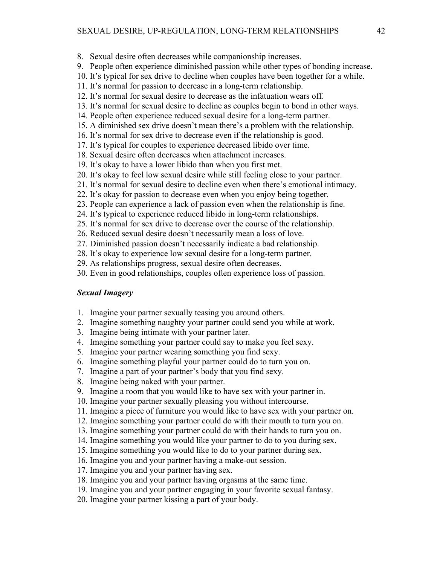- 8. Sexual desire often decreases while companionship increases.
- 9. People often experience diminished passion while other types of bonding increase.
- 10. It's typical for sex drive to decline when couples have been together for a while.
- 11. It's normal for passion to decrease in a long-term relationship.
- 12. It's normal for sexual desire to decrease as the infatuation wears off.
- 13. It's normal for sexual desire to decline as couples begin to bond in other ways.
- 14. People often experience reduced sexual desire for a long-term partner.
- 15. A diminished sex drive doesn't mean there's a problem with the relationship.
- 16. It's normal for sex drive to decrease even if the relationship is good.
- 17. It's typical for couples to experience decreased libido over time.
- 18. Sexual desire often decreases when attachment increases.
- 19. It's okay to have a lower libido than when you first met.
- 20. It's okay to feel low sexual desire while still feeling close to your partner.
- 21. It's normal for sexual desire to decline even when there's emotional intimacy.
- 22. It's okay for passion to decrease even when you enjoy being together.
- 23. People can experience a lack of passion even when the relationship is fine.
- 24. It's typical to experience reduced libido in long-term relationships.
- 25. It's normal for sex drive to decrease over the course of the relationship.
- 26. Reduced sexual desire doesn't necessarily mean a loss of love.
- 27. Diminished passion doesn't necessarily indicate a bad relationship.
- 28. It's okay to experience low sexual desire for a long-term partner.
- 29. As relationships progress, sexual desire often decreases.
- 30. Even in good relationships, couples often experience loss of passion.

#### Sexual Imagery

- 1. Imagine your partner sexually teasing you around others.
- 2. Imagine something naughty your partner could send you while at work.
- 3. Imagine being intimate with your partner later.
- 4. Imagine something your partner could say to make you feel sexy.
- 5. Imagine your partner wearing something you find sexy.
- 6. Imagine something playful your partner could do to turn you on.
- 7. Imagine a part of your partner's body that you find sexy.
- 8. Imagine being naked with your partner.
- 9. Imagine a room that you would like to have sex with your partner in.
- 10. Imagine your partner sexually pleasing you without intercourse.
- 11. Imagine a piece of furniture you would like to have sex with your partner on.
- 12. Imagine something your partner could do with their mouth to turn you on.
- 13. Imagine something your partner could do with their hands to turn you on.
- 14. Imagine something you would like your partner to do to you during sex.
- 15. Imagine something you would like to do to your partner during sex.
- 16. Imagine you and your partner having a make-out session.
- 17. Imagine you and your partner having sex.
- 18. Imagine you and your partner having orgasms at the same time.
- 19. Imagine you and your partner engaging in your favorite sexual fantasy.
- 20. Imagine your partner kissing a part of your body.